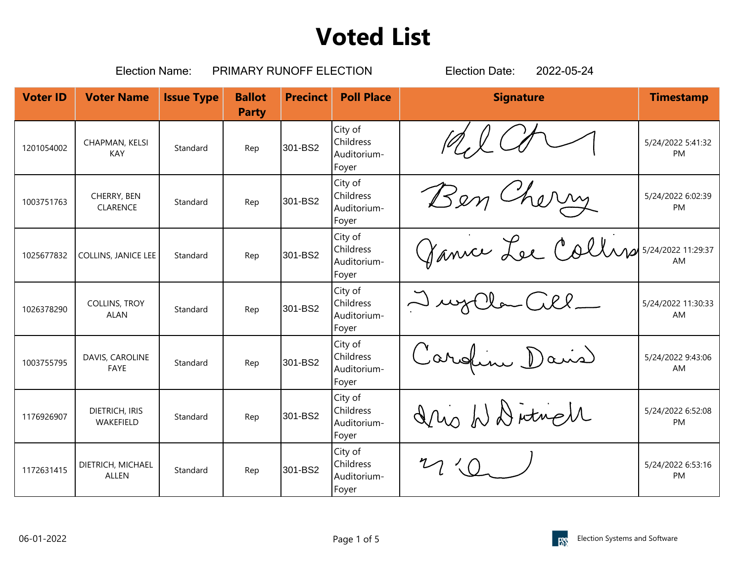|                 | <b>Election Name:</b>               |                   | PRIMARY RUNOFF ELECTION       |                 |                                                     | <b>Election Date:</b><br>2022-05-24   |                                |
|-----------------|-------------------------------------|-------------------|-------------------------------|-----------------|-----------------------------------------------------|---------------------------------------|--------------------------------|
| <b>Voter ID</b> | <b>Voter Name</b>                   | <b>Issue Type</b> | <b>Ballot</b><br><b>Party</b> | <b>Precinct</b> | <b>Poll Place</b>                                   | <b>Signature</b>                      | <b>Timestamp</b>               |
| 1201054002      | CHAPMAN, KELSI<br><b>KAY</b>        | Standard          | Rep                           | 301-BS2         | City of<br><b>Childress</b><br>Auditorium-<br>Foyer |                                       | 5/24/2022 5:41:32<br>PM        |
| 1003751763      | CHERRY, BEN<br><b>CLARENCE</b>      | Standard          | Rep                           | 301-BS2         | City of<br>Childress<br>Auditorium-<br>Foyer        | Ben Cherry                            | 5/24/2022 6:02:39<br><b>PM</b> |
| 1025677832      | <b>COLLINS, JANICE LEE</b>          | Standard          | Rep                           | 301-BS2         | City of<br>Childress<br>Auditorium-<br>Foyer        | Ganice Lee Collins 5/24/2022 11:29:37 | AM                             |
| 1026378290      | <b>COLLINS, TROY</b><br><b>ALAN</b> | Standard          | Rep                           | 301-BS2         | City of<br><b>Childress</b><br>Auditorium-<br>Foyer | wyCla Cill_                           | 5/24/2022 11:30:33<br>AM       |
| 1003755795      | DAVIS, CAROLINE<br><b>FAYE</b>      | Standard          | Rep                           | 301-BS2         | City of<br><b>Childress</b><br>Auditorium-<br>Foyer | Caroline David                        | 5/24/2022 9:43:06<br>AM        |
| 1176926907      | DIETRICH, IRIS<br>WAKEFIELD         | Standard          | Rep                           | 301-BS2         | City of<br><b>Childress</b><br>Auditorium-<br>Foyer | Ino WD itrich                         | 5/24/2022 6:52:08<br>PM        |
| 1172631415      | DIETRICH, MICHAEL<br><b>ALLEN</b>   | Standard          | Rep                           | 301-BS2         | City of<br>Childress<br>Auditorium-<br>Foyer        |                                       | 5/24/2022 6:53:16<br><b>PM</b> |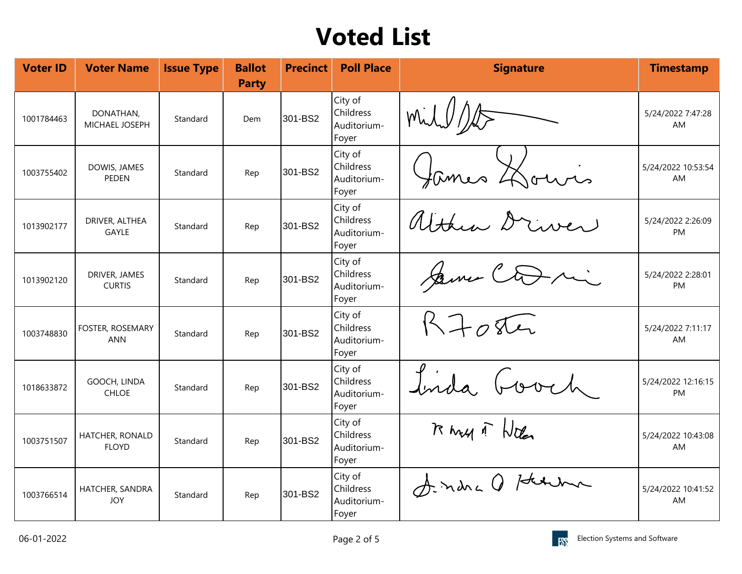| <b>Voter ID</b> | <b>Voter Name</b>                  | <b>Issue Type</b> | <b>Ballot</b><br><b>Party</b> | <b>Precinct</b> | <b>Poll Place</b>                                   | <b>Signature</b>      | <b>Timestamp</b>               |
|-----------------|------------------------------------|-------------------|-------------------------------|-----------------|-----------------------------------------------------|-----------------------|--------------------------------|
| 1001784463      | DONATHAN,<br><b>MICHAEL JOSEPH</b> | Standard          | Dem                           | 301-BS2         | City of<br>Childress<br>Auditorium-<br>Foyer        | mil //                | 5/24/2022 7:47:28<br>AM        |
| 1003755402      | DOWIS, JAMES<br><b>PEDEN</b>       | Standard          | Rep                           | 301-BS2         | City of<br>Childress<br>Auditorium-<br>Foyer        | fames Hours           | 5/24/2022 10:53:54<br>AM       |
| 1013902177      | DRIVER, ALTHEA<br><b>GAYLE</b>     | Standard          | Rep                           | 301-BS2         | City of<br>Childress<br>Auditorium-<br>Foyer        | althum Drive          | 5/24/2022 2:26:09<br><b>PM</b> |
| 1013902120      | DRIVER, JAMES<br><b>CURTIS</b>     | Standard          | Rep                           | 301-BS2         | City of<br>Childress<br>Auditorium-<br>Foyer        | Same Coni             | 5/24/2022 2:28:01<br>PM        |
| 1003748830      | FOSTER, ROSEMARY<br><b>ANN</b>     | Standard          | Rep                           | 301-BS2         | City of<br><b>Childress</b><br>Auditorium-<br>Foyer | $R\rightarrow \pi\pi$ | 5/24/2022 7:11:17<br>AM        |
| 1018633872      | GOOCH, LINDA<br><b>CHLOE</b>       | Standard          | Rep                           | 301-BS2         | City of<br>Childress<br>Auditorium-<br>Foyer        | Inda, Good            | 5/24/2022 12:16:15<br>PM       |
| 1003751507      | HATCHER, RONALD<br><b>FLOYD</b>    | Standard          | Rep                           | 301-BS2         | City of<br>Childress<br>Auditorium-<br>Foyer        | Rhay 1 Notes          | 5/24/2022 10:43:08<br>AM       |
| 1003766514      | HATCHER, SANDRA<br><b>JOY</b>      | Standard          | Rep                           | 301-BS2         | City of<br><b>Childress</b><br>Auditorium-<br>Foyer | Sindra Q Helma        | 5/24/2022 10:41:52<br>AM       |

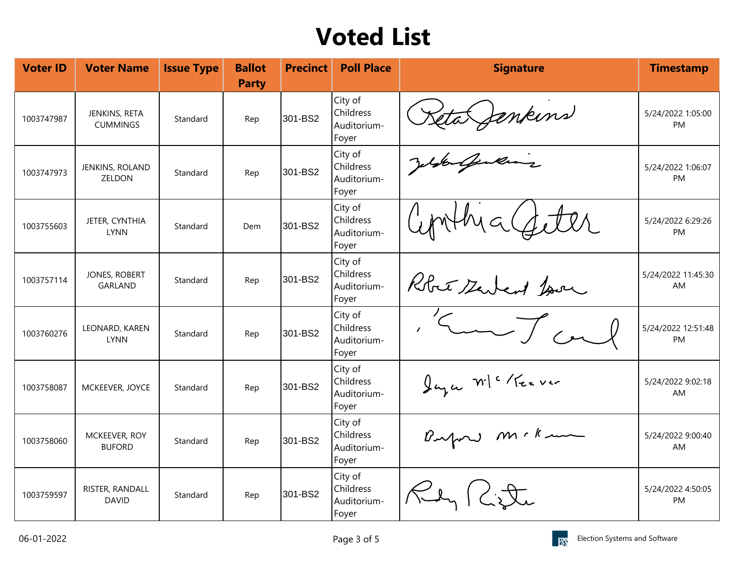| <b>Voter ID</b> | <b>Voter Name</b>                | <b>Issue Type</b> | <b>Ballot</b><br><b>Party</b> | <b>Precinct</b> | <b>Poll Place</b>                                   | <b>Signature</b>    | <b>Timestamp</b>                |
|-----------------|----------------------------------|-------------------|-------------------------------|-----------------|-----------------------------------------------------|---------------------|---------------------------------|
| 1003747987      | JENKINS, RETA<br><b>CUMMINGS</b> | Standard          | Rep                           | 301-BS2         | City of<br>Childress<br>Auditorium-<br>Foyer        | Leta Jenkins        | 5/24/2022 1:05:00<br><b>PM</b>  |
| 1003747973      | JENKINS, ROLAND<br>ZELDON        | Standard          | Rep                           | 301-BS2         | City of<br><b>Childress</b><br>Auditorium-<br>Foyer | Jefferling          | 5/24/2022 1:06:07<br>PM         |
| 1003755603      | JETER, CYNTHIA<br><b>LYNN</b>    | Standard          | Dem                           | 301-BS2         | City of<br>Childress<br>Auditorium-<br>Foyer        | wthy a Catter       | 5/24/2022 6:29:26<br><b>PM</b>  |
| 1003757114      | JONES, ROBERT<br>GARLAND         | Standard          | Rep                           | 301-BS2         | City of<br>Childress<br>Auditorium-<br>Foyer        | Robert Servent Jour | 5/24/2022 11:45:30<br><b>AM</b> |
| 1003760276      | LEONARD, KAREN<br><b>LYNN</b>    | Standard          | Rep                           | 301-BS2         | City of<br><b>Childress</b><br>Auditorium-<br>Foyer | Kun Tra             | 5/24/2022 12:51:48<br>PM        |
| 1003758087      | MCKEEVER, JOYCE                  | Standard          | Rep                           | 301-BS2         | City of<br>Childress<br>Auditorium-<br>Foyer        | Jaza W/ "Keever     | 5/24/2022 9:02:18<br><b>AM</b>  |
| 1003758060      | MCKEEVER, ROY<br><b>BUFORD</b>   | Standard          | Rep                           | 301-BS2         | City of<br>Childress<br>Auditorium-<br>Foyer        | Bufon mckum         | 5/24/2022 9:00:40<br>AM         |
| 1003759597      | RISTER, RANDALL<br><b>DAVID</b>  | Standard          | Rep                           | 301-BS2         | City of<br>Childress<br>Auditorium-<br>Foyer        | Ken (Litte          | 5/24/2022 4:50:05<br><b>PM</b>  |

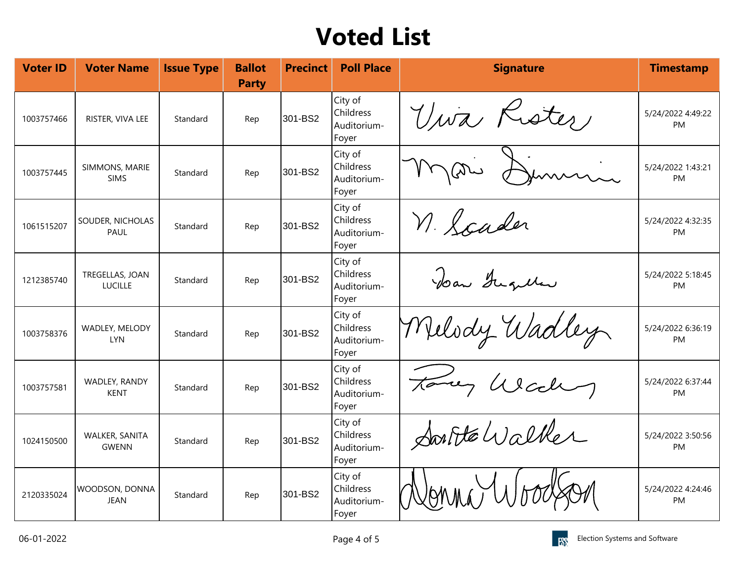| <b>Voter ID</b> | <b>Voter Name</b>                   | <b>Issue Type</b> | <b>Ballot</b><br><b>Party</b> | <b>Precinct</b> | <b>Poll Place</b>                                   | <b>Signature</b> | <b>Timestamp</b>               |
|-----------------|-------------------------------------|-------------------|-------------------------------|-----------------|-----------------------------------------------------|------------------|--------------------------------|
| 1003757466      | RISTER, VIVA LEE                    | Standard          | Rep                           | 301-BS2         | City of<br><b>Childress</b><br>Auditorium-<br>Foyer | Viva Rister      | 5/24/2022 4:49:22<br><b>PM</b> |
| 1003757445      | SIMMONS, MARIE<br><b>SIMS</b>       | Standard          | Rep                           | 301-BS2         | City of<br><b>Childress</b><br>Auditorium-<br>Foyer | Jummin.          | 5/24/2022 1:43:21<br>PM        |
| 1061515207      | SOUDER, NICHOLAS<br><b>PAUL</b>     | Standard          | Rep                           | 301-BS2         | City of<br><b>Childress</b><br>Auditorium-<br>Foyer | n. Scader        | 5/24/2022 4:32:35<br><b>PM</b> |
| 1212385740      | TREGELLAS, JOAN<br><b>LUCILLE</b>   | Standard          | Rep                           | 301-BS2         | City of<br><b>Childress</b><br>Auditorium-<br>Foyer | Dan Gugullar     | 5/24/2022 5:18:45<br><b>PM</b> |
| 1003758376      | <b>WADLEY, MELODY</b><br><b>LYN</b> | Standard          | Rep                           | 301-BS2         | City of<br>Childress<br>Auditorium-<br>Foyer        | Melody Wadley    | 5/24/2022 6:36:19<br><b>PM</b> |
| 1003757581      | WADLEY, RANDY<br><b>KENT</b>        | Standard          | Rep                           | 301-BS2         | City of<br>Childress<br>Auditorium-<br>Foyer        | Forey Wech       | 5/24/2022 6:37:44<br><b>PM</b> |
| 1024150500      | WALKER, SANITA<br><b>GWENN</b>      | Standard          | Rep                           | 301-BS2         | City of<br>Childress<br>Auditorium-<br>Foyer        | Soutte Walker    | 5/24/2022 3:50:56<br><b>PM</b> |
| 2120335024      | WOODSON, DONNA<br><b>JEAN</b>       | Standard          | Rep                           | 301-BS2         | City of<br><b>Childress</b><br>Auditorium-<br>Foyer |                  | 5/24/2022 4:24:46<br><b>PM</b> |